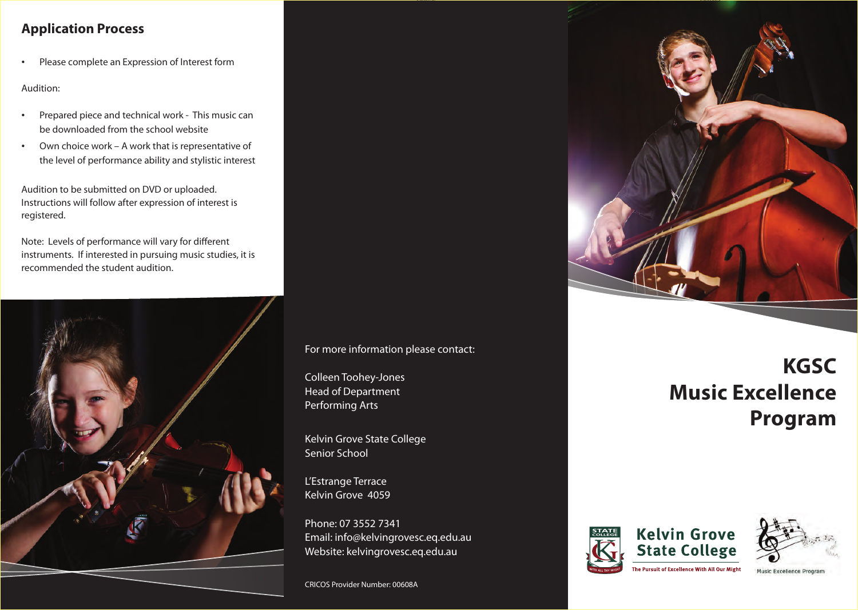## **Application Process**

Please complete an Expression of Interest form

Audition:

- Prepared piece and technical work This music can be downloaded from the school website
- • Own choice work A work that is representative of the level of performance ability and stylistic interest

Audition to be submitted on DVD or uploaded. Instructions will follow after expression of interest is registered.

Note: Levels of performance will vary for different instruments. If interested in pursuing music studies, it is recommended the student audition.



For more information please contact:

Colleen Toohey-Jones Head of Department Performing Arts

Kelvin Grove State College Senior School

L'Estrange Terrace Kelvin Grove 4059

Phone: 07 3552 7341 Email: info@kelvingrovesc.eq.edu.au Website: kelvingrovesc.eq.edu.au

CRICOS Provider Number: 00608A



# **KGSC Music Excellence Program**